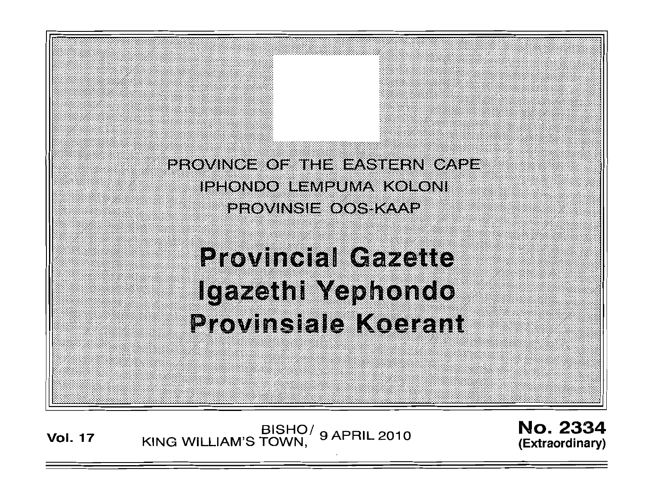

.: "

:, : :

: :

" :, ' . . . '

. . . . '

# **Provincial Gazette** Igazethi Yephondo **Provinsiale Koerant**

. ;,. ",:,' .

**Vol. 17 KING WILLIAM'S TOWN, 9 APRIL 2010** 

. . : '. ';';:;

No. 2334 **(Extraordinary)** 

:t:  $\mathbb{Z}$ ii

 $\cdot$  . :::;:: ' : .

:, :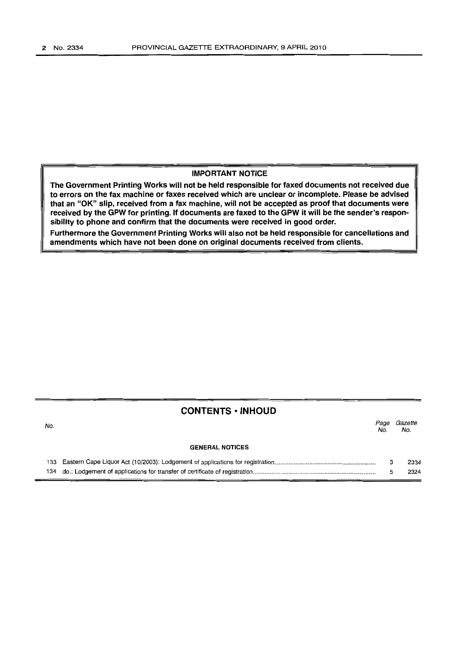### IMPORTANT NOTICE

The Government Printing Works will not be held responsible for faxed documents not received due to errors on the fax machine or faxes received which are unclear or incomplete. Please be advised that an "OK" Slip, received from a fax machine, will not be accepted as proof that documents were received by the GPW for printing. If documents are faxed to the GPW it will be the sender's responsibility to phone and confirm that the documents were received in good order.

Furthermore the Government Printing Works will also not be held responsible for cancellations and amendments which have not been done on original documents received from clients.

## CONTENTS • INHOUD

| No. |                        | Page<br>No. | Gazette<br>No. |
|-----|------------------------|-------------|----------------|
|     | <b>GENERAL NOTICES</b> |             |                |
|     |                        |             | 2334           |
|     |                        |             | 2324           |

134 do.: Lodgement of applications for transfer of certificate of registration ....................................................................... .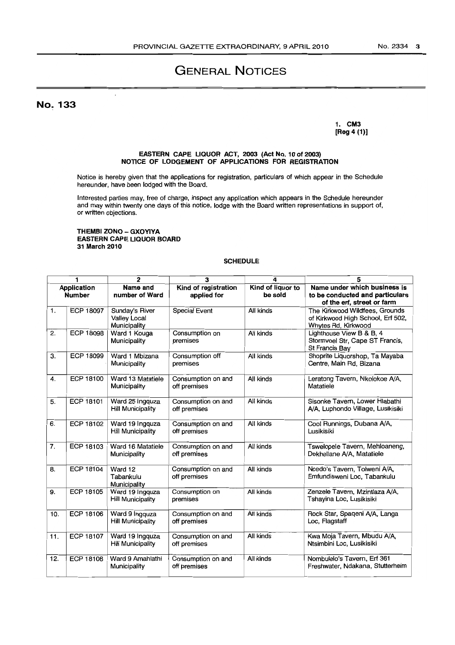# GENERAL NOTICES

No. 133

#### 1. CM3 [Reg 4 (1)]

#### EASTERN CAPE UQUOR ACT, 2003 (Act No. 10 of 2003) NOTICE OF LODGEMENT OF APPLICATIONS FOR REGISTRATION

Notice is hereby given that the applications for registration, particulars of which appear in the Schedule hereunder, have been lodged with the Board.

Interested parties may, free of charge, inspect any application which appears in the Schedule hereunder and may within twenty one days of this notice, lodge with the Board written representations in support of, or written objections.

#### THEMBI ZONO - GXOYIYA EASTERN CAPE LIQUOR BOARD 31 March 2010

#### **SCHEDULE**

|                                     | 1                | $\overline{2}$                                        | 3                                   | 4                            | 5                                                                                             |
|-------------------------------------|------------------|-------------------------------------------------------|-------------------------------------|------------------------------|-----------------------------------------------------------------------------------------------|
| <b>Application</b><br><b>Number</b> |                  | Name and<br>number of Ward                            | Kind of registration<br>applied for | Kind of liquor to<br>be sold | Name under which business is<br>to be conducted and particulars<br>of the erf, street or farm |
| 1.                                  | <b>ECP 18097</b> | Sunday's River<br><b>Valley Local</b><br>Municipality | Special Event                       | All kinds                    | The Kirkwood Wildfees, Grounds<br>of Kirkwood High School, Erf 502,<br>Whytes Rd, Kirkwood    |
| 2.                                  | <b>ECP 18098</b> | Ward 1 Kouga<br>Municipality                          | Consumption on<br>premises          | All kinds                    | Lighthouse View B & B, 4<br>Stormvoel Str, Cape ST Francis,<br>St Francis Bay                 |
| З.                                  | <b>ECP 18099</b> | Ward 1 Mbizana<br>Municipality                        | Consumption off<br>premises         | All kinds                    | Shoprite Liquorshop, Ta Mayaba<br>Centre, Main Rd, Bizana                                     |
| 4.                                  | ECP 18100        | Ward 13 Matatiele<br>Municipality                     | Consumption on and<br>off premises  | All kinds                    | Leratong Tavern, Nkolokoe A/A,<br>Matatiele                                                   |
| 5.                                  | <b>ECP 18101</b> | Ward 25 Ingguza<br><b>Hill Municipality</b>           | Consumption on and<br>off premises  | All kinds                    | Sisonke Tavern, Lower Hlabathi<br>A/A, Luphondo Village, Lusikisiki                           |
| 6.                                  | ECP 18102        | Ward 19 Ingquza<br><b>Hill Municipality</b>           | Consumption on and<br>off premises  | All kinds                    | Cool Runnings, Dubana A/A,<br>Lusikisiki                                                      |
| 7.                                  | ECP 18103        | Ward 16 Matatiele<br>Municipality                     | Consumption on and<br>off premises  | All kinds                    | Tswelopele Tavern, Mehloaneng,<br>Dekhellane A/A, Matatiele                                   |
| 8.                                  | ECP 18104        | Ward 12<br>Tabankulu<br>Municipality                  | Consumption on and<br>off premises  | All kinds                    | Ncedo's Tavern, Tolweni A/A,<br>Emfundisweni Loc, Tabankulu                                   |
| 9.                                  | ECP 18105        | Ward 19 Ingquza<br><b>Hill Municipality</b>           | Consumption on<br>premises          | All kinds                    | Zenzele Tavern, Mzintlaza A/A,<br>Tshayina Loc, Lusikisiki                                    |
| 10.                                 | ECP 18106        | Ward 9 Ingquza<br><b>Hill Municipality</b>            | Consumption on and<br>off premises  | All kinds                    | Rock Star, Spaqeni A/A, Langa<br>Loc, Flagstaff                                               |
| 11.                                 | <b>ECP 18107</b> | Ward 19 Ingquza<br><b>Hill Municipality</b>           | Consumption on and<br>off premises  | All kinds                    | Kwa Moja Tavern, Mbudu A/A,<br>Ntsimbini Loc, Lusikisiki                                      |
| 12.                                 | ECP 18108        | Ward 9 Amahlathi<br>Municipality                      | Consumption on and<br>off premises  | All kinds                    | Nombulelo's Tavern, Erf 361<br>Freshwater, Ndakana, Stutterheim                               |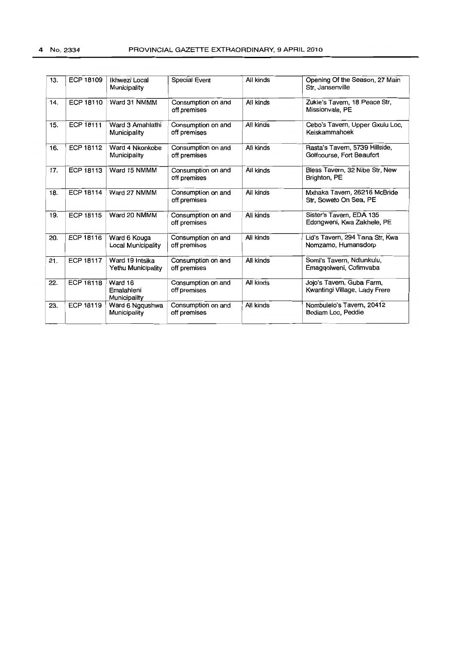| 13. | ECP 18109        | Ikhwezi Local<br>Municipality                | <b>Special Event</b>               | All kinds | Opening Of the Season, 27 Main<br>Str, Jansenville          |
|-----|------------------|----------------------------------------------|------------------------------------|-----------|-------------------------------------------------------------|
| 14. | ECP 18110        | Ward 31 NMMM                                 | Consumption on and<br>off premises | All kinds | Zukie's Tavern, 18 Peace Str,<br>Missionvale, PE            |
| 15. | <b>ECP 18111</b> | Ward 3 Amahlathi<br>Municipality             | Consumption on and<br>off premises | All kinds | Cebo's Tavern, Upper Gxulu Loc,<br>Keiskammahoek            |
| 16. | ECP 18112        | Ward 4 Nkonkobe<br>Municipality              | Consumption on and<br>off premises | All kinds | Rasta's Tavern, 5739 Hillside,<br>Golfcourse, Fort Beaufort |
| 17. | ECP 18113        | Ward 15 NMMM                                 | Consumption on and<br>off premises | All kinds | Bless Tavern, 32 Nibe Str, New<br>Brighton, PE              |
| 18. | <b>ECP 18114</b> | Ward 27 NMMM                                 | Consumption on and<br>off premises | All kinds | Mxhaka Tavern, 26216 McBride<br>Str. Soweto On Sea, PE      |
| 19. | ECP 18115        | Ward 20 NMMM                                 | Consumption on and<br>off premises | All kinds | Sister's Tavern, EDA 135<br>Edongweni, Kwa Zakhele, PE      |
| 20. | ECP 18116        | Ward 6 Kouga<br>Local Municipality           | Consumption on and<br>off premises | All kinds | Lid's Tavern, 294 Tana Str, Kwa<br>Nomzamo, Humansdorp      |
| 21. | <b>ECP 18117</b> | Ward 19 Intsika<br><b>Yethu Municipality</b> | Consumption on and<br>off premises | All kinds | Somi's Tavern, Ndlunkulu,<br>Emaggolweni, Cofimvaba         |
| 22. | <b>ECP 18118</b> | Ward 16<br>Emalahleni<br>Municipality        | Consumption on and<br>off premises | All kinds | Jojo's Tavern, Guba Farm,<br>Kwantingi Village, Lady Frere  |
| 23. | <b>ECP 18119</b> | Ward 6 Ngqushwa<br>Municipality              | Consumption on and<br>off premises | All kinds | Nombulelo's Tavern, 20412<br>Bodiam Loc, Peddie             |